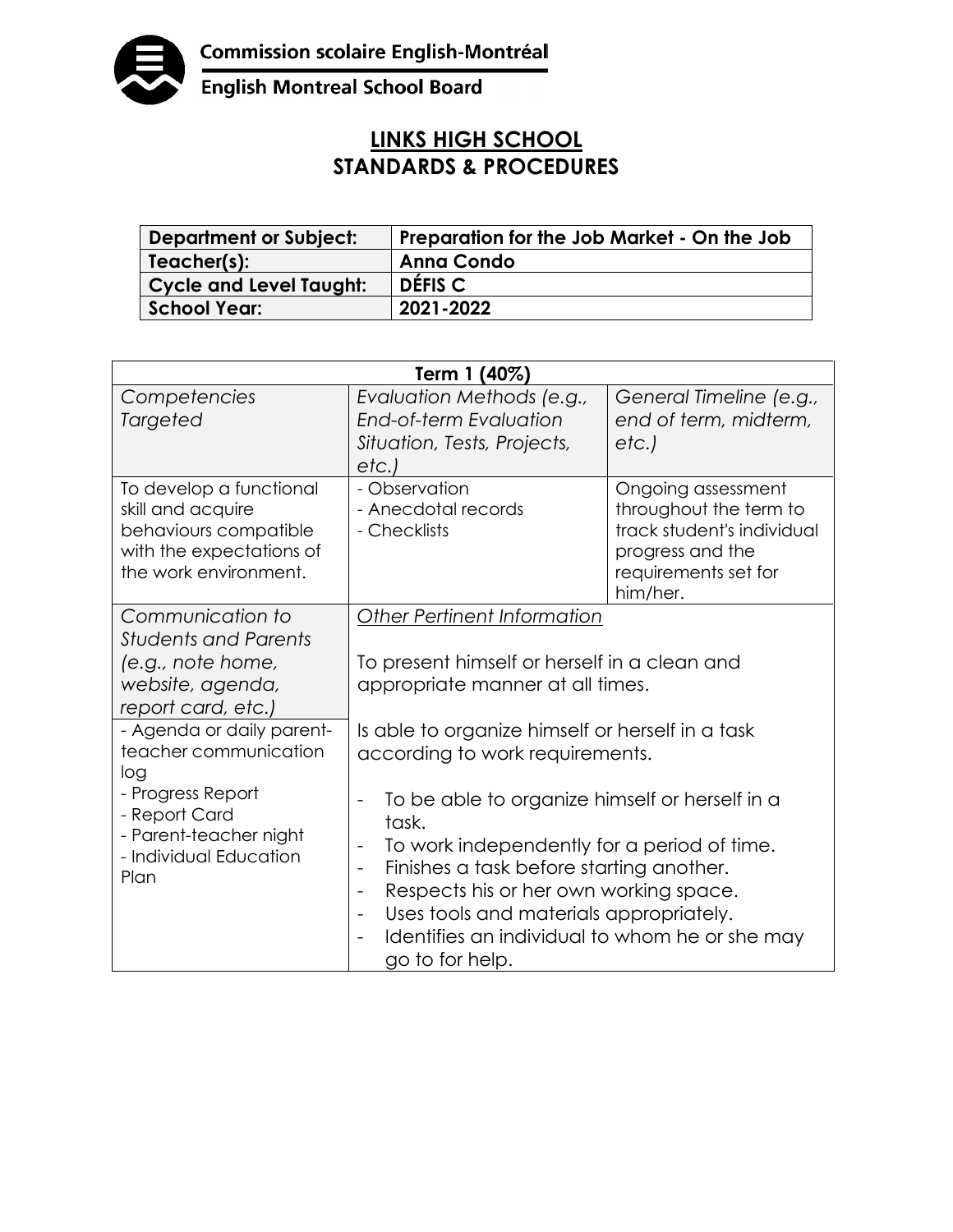

**English Montreal School Board** 

## **LINKS HIGH SCHOOL STANDARDS & PROCEDURES**

| Department or Subject:  | Preparation for the Job Market - On the Job |
|-------------------------|---------------------------------------------|
| Teacher(s):             | <b>Anna Condo</b>                           |
| Cycle and Level Taught: | <b>DEFIS C</b>                              |
| <b>School Year:</b>     | 2021-2022                                   |

| Term 1 (40%)                                                                                                                                                                                                                                                                  |                                                                                                                                                                                                                                                                                                                                                                                                                                                                                                                                                                                                                                            |                                                                                                                                    |  |  |
|-------------------------------------------------------------------------------------------------------------------------------------------------------------------------------------------------------------------------------------------------------------------------------|--------------------------------------------------------------------------------------------------------------------------------------------------------------------------------------------------------------------------------------------------------------------------------------------------------------------------------------------------------------------------------------------------------------------------------------------------------------------------------------------------------------------------------------------------------------------------------------------------------------------------------------------|------------------------------------------------------------------------------------------------------------------------------------|--|--|
| Competencies<br>Targeted                                                                                                                                                                                                                                                      | Evaluation Methods (e.g.,<br><b>End-of-term Evaluation</b><br>Situation, Tests, Projects,<br>etc.)                                                                                                                                                                                                                                                                                                                                                                                                                                                                                                                                         | General Timeline (e.g.,<br>end of term, midterm,<br>etc.)                                                                          |  |  |
| To develop a functional<br>skill and acquire<br>behaviours compatible<br>with the expectations of<br>the work environment.                                                                                                                                                    | - Observation<br>- Anecdotal records<br>- Checklists                                                                                                                                                                                                                                                                                                                                                                                                                                                                                                                                                                                       | Ongoing assessment<br>throughout the term to<br>track student's individual<br>progress and the<br>requirements set for<br>him/her. |  |  |
| Communication to<br><b>Students and Parents</b><br>(e.g., note home,<br>website, agenda,<br>report card, etc.)<br>- Agenda or daily parent-<br>teacher communication<br>log<br>- Progress Report<br>- Report Card<br>- Parent-teacher night<br>- Individual Education<br>Plan | Other Pertinent Information<br>To present himself or herself in a clean and<br>appropriate manner at all times.<br>Is able to organize himself or herself in a task<br>according to work requirements.<br>To be able to organize himself or herself in a<br>task.<br>To work independently for a period of time.<br>Finishes a task before starting another.<br>$\qquad \qquad \blacksquare$<br>Respects his or her own working space.<br>$\overline{\phantom{a}}$<br>Uses tools and materials appropriately.<br>$\overline{\phantom{0}}$<br>Identifies an individual to whom he or she may<br>$\overline{\phantom{a}}$<br>go to for help. |                                                                                                                                    |  |  |